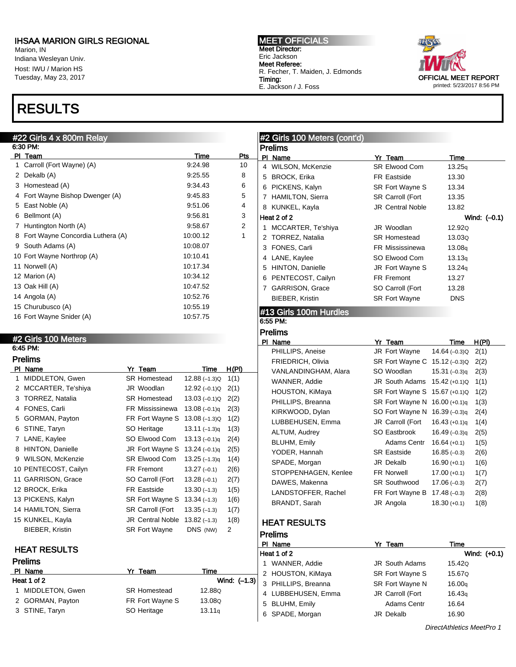Marion, IN Indiana Wesleyan Univ. Host: IWU / Marion HS Tuesday, May 23, 2017

## RESULTS

#### #22 Girls 4 x 800m Relay

|     | 6:30 PM:                         |          |     |
|-----|----------------------------------|----------|-----|
| PI. | Team                             | Time     | Pts |
| 1   | Carroll (Fort Wayne) (A)         | 9:24.98  | 10  |
| 2   | Dekalb (A)                       | 9:25.55  | 8   |
| 3   | Homestead (A)                    | 9.34.43  | 6   |
| 4   | Fort Wayne Bishop Dwenger (A)    | 9:45.83  | 5   |
| 5   | East Noble (A)                   | 9.51.06  | 4   |
| 6   | Bellmont (A)                     | 9:56.81  | 3   |
| 7   | Huntington North (A)             | 9.58.67  | 2   |
| 8   | Fort Wayne Concordia Luthera (A) | 10:00.12 | 1   |
| 9   | South Adams (A)                  | 10:08.07 |     |
|     | 10 Fort Wayne Northrop (A)       | 10:10.41 |     |
|     | 11 Norwell (A)                   | 10:17.34 |     |
|     | 12 Marion (A)                    | 10:34.12 |     |
|     | 13 Oak Hill (A)                  | 10:47.52 |     |
|     | 14 Angola (A)                    | 10:52.76 |     |
|     | 15 Churubusco (A)                | 10:55.19 |     |
|     | 16 Fort Wayne Snider (A)         | 10:57.75 |     |

#### MEET OFFICIALS Meet Director: Eric Jackson Meet Referee: R. Fecher, T. Maiden, J. Edmonds Timing: E. Jackson / J. Foss



### #2 Girls 100 Meters (cont'd) Prelims PI Name **Yr Team** Time 4 WILSON, McKenzie SR Elwood Com 13.25q 5 BROCK, Erika FR Eastside 13.30 6 PICKENS, Kalyn SR Fort Wayne S 13.34 7 HAMILTON, Sierra SR Carroll (Fort 13.35 8 KUNKEL, Kayla **JR Central Noble** 13.82 Heat 2 of 2 Wind: (–0.1) 1 MCCARTER, Te'shiya JR Woodlan 12.92Q 2 TORREZ, Natalia SR Homestead 13.03Q 3 FONES, Carli FR Mississinewa 13.08q 4 LANE, Kaylee SO Elwood Com 13.13q 5 HINTON, Danielle JR Fort Wayne S 13.24q 6 PENTECOST, Cailyn FR Fremont 13.27 7 GARRISON, Grace SO Carroll (Fort 13.28 BIEBER, Kristin SR Fort Wayne DNS

### #13 Girls 100m Hurdles

#### 6:55 PM: Prelims

### #2 Girls 100 Meters

#### 6:45 PM: Prelims

| PI | Name                    | Yr Team                 | Time            | H(PI) |
|----|-------------------------|-------------------------|-----------------|-------|
| 1  | MIDDLETON, Gwen         | <b>SR Homestead</b>     | $12.88(-1.3)Q$  | 1(1)  |
| 2  | MCCARTER, Te'shiya      | JR Woodlan              | 12.92 (-0.1)Q   | 2(1)  |
| 3  | TORREZ, Natalia         | <b>SR Homestead</b>     | $13.03(-0.1)Q$  | 2(2)  |
| 4  | FONES, Carli            | FR Mississinewa         | $13.08(-0.1)q$  | 2(3)  |
| 5  | GORMAN, Payton          | FR Fort Wayne S         | $13.08(-1.3)Q$  | 1(2)  |
| 6  | STINE, Taryn            | SO Heritage             | $13.11(-1.3)q$  | 1(3)  |
| 7  | LANE, Kaylee            | SO Elwood Com           | $13.13(-0.1)q$  | 2(4)  |
| 8  | <b>HINTON, Danielle</b> | JR Fort Wayne S         | $13.24 (-0.1)q$ | 2(5)  |
| 9  | WILSON, McKenzie        | <b>SR Elwood Com</b>    | $13.25(-1.3)q$  | 1(4)  |
|    | 10 PENTECOST, Cailyn    | FR Fremont              | $13.27(-0.1)$   | 2(6)  |
|    | 11 GARRISON, Grace      | SO Carroll (Fort        | $13.28(-0.1)$   | 2(7)  |
|    | 12 BROCK, Erika         | FR Eastside             | $13.30(-1.3)$   | 1(5)  |
|    | 13 PICKENS, Kalyn       | SR Fort Wayne S         | $13.34(-1.3)$   | 1(6)  |
|    | 14 HAMILTON, Sierra     | SR Carroll (Fort        | $13.35(-1.3)$   | 1(7)  |
|    | 15 KUNKEL, Kayla        | <b>JR Central Noble</b> | $13.82(-1.3)$   | 1(8)  |
|    | <b>BIEBER, Kristin</b>  | <b>SR Fort Wayne</b>    | DNS (NW)        | 2     |
|    |                         |                         |                 |       |

### HEAT RESULTS

### Prelims Pl Name Yr Team Time Heat 1 of 2 Wind: (–1.3) 1 MIDDLETON, Gwen SR Homestead 12.88Q 2 GORMAN, Payton FR Fort Wayne S 13.08Q 3 STINE, Taryn SO Heritage 13.11q

| PI | Name                   | Yr Team               | Time             | H(PI) |
|----|------------------------|-----------------------|------------------|-------|
|    | PHILLIPS, Aneise       | JR Fort Wayne         | 14.64 $(-0.3)Q$  | 2(1)  |
|    | FRIEDRICH, Olivia      | SR Fort Wayne C       | 15.12 $(-0.3)$ Q | 2(2)  |
|    | VANLANDINGHAM, Alara   | SO Woodlan            | 15.31 $(-0.3)q$  | 2(3)  |
|    | WANNER, Addie          | <b>JR South Adams</b> | 15.42 (+0.1)Q    | 1(1)  |
|    | <b>HOUSTON, KiMaya</b> | SR Fort Wayne S       | 15.67 (+0.1)Q    | 1(2)  |
|    | PHILLIPS, Breanna      | SR Fort Wayne N       | $16.00 (+0.1)q$  | 1(3)  |
|    | KIRKWOOD, Dylan        | SO Fort Wayne N       | $16.39(-0.3)q$   | 2(4)  |
|    | LUBBEHUSEN, Emma       | JR Carroll (Fort      | $16.43 (+0.1)q$  | 1(4)  |
|    | ALTUM, Audrey          | SO Eastbrook          | $16.49(-0.3)q$   | 2(5)  |
|    | BLUHM, Emily           | Adams Centr           | $16.64 (+0.1)$   | 1(5)  |
|    | YODER, Hannah          | <b>SR Eastside</b>    | $16.85(-0.3)$    | 2(6)  |
|    | SPADE, Morgan          | JR Dekalb             | $16.90 (+0.1)$   | 1(6)  |
|    | STOPPENHAGEN, Kenlee   | <b>FR Norwell</b>     | $17.00 (+0.1)$   | 1(7)  |
|    | DAWES, Makenna         | <b>SR Southwood</b>   | $17.06(-0.3)$    | 2(7)  |
|    | LANDSTOFFER, Rachel    | FR Fort Wayne B       | $17.48(-0.3)$    | 2(8)  |
|    | BRANDT, Sarah          | JR Angola             | $18.30 (+0.1)$   | 1(8)  |
|    |                        |                       |                  |       |

### HEAT RESULTS

| <b>Prelims</b>      |                        |              |
|---------------------|------------------------|--------------|
| PI Name             | Yr Team                | Time         |
| Heat 1 of 2         |                        | Wind: (+0.1) |
| 1 WANNER, Addie     | <b>JR South Adams</b>  | 15.42Q       |
| 2 HOUSTON, KiMaya   | <b>SR Fort Wayne S</b> | 15.67Q       |
| 3 PHILLIPS, Breanna | SR Fort Wayne N        | 16.00q       |
| 4 LUBBEHUSEN, Emma  | JR Carroll (Fort       | 16.43q       |
| 5 BLUHM, Emily      | <b>Adams Centr</b>     | 16.64        |
| 6 SPADE, Morgan     | JR Dekalb              | 16.90        |

DirectAthletics MeetPro 1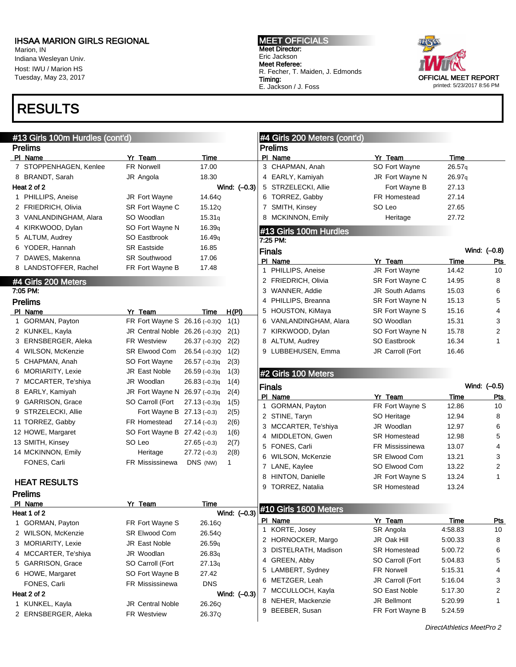Marion, IN Indiana Wesleyan Univ. Host: IWU / Marion HS Tuesday, May 23, 2017

## RESULTS

#### MEET OFFICIALS Meet Director: Eric Jackson Meet Referee: R. Fecher, T. Maiden, J. Edmonds Timing: E. Jackson / J. Foss



| #13 Girls 100m Hurdles (cont'd) |                                |                     |              | #4 Girls 200 Meters (cont'd)       |                        |               |                  |
|---------------------------------|--------------------------------|---------------------|--------------|------------------------------------|------------------------|---------------|------------------|
| <b>Prelims</b>                  |                                |                     |              | <b>Prelims</b>                     |                        |               |                  |
| PI Name                         | Yr Team                        | Time                |              | PI Name                            | Yr Team                | Time          |                  |
| 7 STOPPENHAGEN, Kenlee          | <b>FR Norwell</b>              | 17.00               |              | 3 CHAPMAN, Anah                    | SO Fort Wayne          | 26.57q        |                  |
| 8 BRANDT, Sarah                 | JR Angola                      | 18.30               |              | 4 EARLY, Kamiyah                   | JR Fort Wayne N        | 26.97q        |                  |
| Heat 2 of 2                     |                                |                     | Wind: (-0.3) | 5 STRZELECKI, Allie                | Fort Wayne B           | 27.13         |                  |
| 1 PHILLIPS, Aneise              | JR Fort Wayne                  | 14.64Q              |              | 6 TORREZ, Gabby                    | FR Homestead           | 27.14         |                  |
| 2 FRIEDRICH, Olivia             | SR Fort Wayne C                | 15.12Q              |              | 7 SMITH, Kinsey                    | SO Leo                 | 27.65         |                  |
| 3 VANLANDINGHAM, Alara          | SO Woodlan                     | 15.31q              |              | 8 MCKINNON, Emily                  | Heritage               | 27.72         |                  |
| 4 KIRKWOOD, Dylan               | SO Fort Wayne N                | 16.39 <sub>q</sub>  |              |                                    |                        |               |                  |
| 5 ALTUM, Audrey                 | SO Eastbrook                   | 16.49 <sub>q</sub>  |              | #13 Girls 100m Hurdles<br>7:25 PM: |                        |               |                  |
| 6 YODER, Hannah                 | <b>SR Eastside</b>             | 16.85               |              |                                    |                        |               | Wind: (-0.8)     |
| 7 DAWES, Makenna                | <b>SR Southwood</b>            | 17.06               |              | Finals<br>PI Name                  | Yr Team                |               |                  |
| 8 LANDSTOFFER, Rachel           | FR Fort Wayne B                | 17.48               |              | 1 PHILLIPS, Aneise                 | JR Fort Wayne          | Time<br>14.42 | <b>Pts</b><br>10 |
|                                 |                                |                     |              | 2 FRIEDRICH, Olivia                | SR Fort Wayne C        | 14.95         | 8                |
| #4 Girls 200 Meters<br>7:05 PM: |                                |                     |              | 3 WANNER, Addie                    | <b>JR South Adams</b>  | 15.03         | 6                |
|                                 |                                |                     |              | 4 PHILLIPS, Breanna                | SR Fort Wayne N        | 15.13         | 5                |
| <b>Prelims</b>                  | Yr Team                        |                     | H(PI)        | 5 HOUSTON, KiMaya                  | SR Fort Wayne S        | 15.16         | 4                |
| PI Name<br>1 GORMAN, Payton     | FR Fort Wayne S 26.16 (-0.3)Q  | Time                | 1(1)         | 6 VANLANDINGHAM, Alara             | SO Woodlan             | 15.31         | 3                |
| 2 KUNKEL, Kayla                 | JR Central Noble 26.26 (-0.3)Q |                     | 2(1)         | 7 KIRKWOOD, Dylan                  | SO Fort Wayne N        | 15.78         | 2                |
| 3 ERNSBERGER, Aleka             | <b>FR Westview</b>             | $26.37(-0.3)Q$      | 2(2)         | 8 ALTUM, Audrey                    | SO Eastbrook           | 16.34         | 1                |
| 4 WILSON, McKenzie              | <b>SR Elwood Com</b>           | 26.54 (-0.3)Q       | 1(2)         | 9 LUBBEHUSEN, Emma                 | JR Carroll (Fort       | 16.46         |                  |
| 5 CHAPMAN, Anah                 | SO Fort Wayne                  | $26.57(-0.3)q$      | 2(3)         |                                    |                        |               |                  |
| 6 MORIARITY, Lexie              | <b>JR East Noble</b>           | $26.59(-0.3)q$      | 1(3)         |                                    |                        |               |                  |
| 7 MCCARTER, Te'shiya            | JR Woodlan                     | $26.83(-0.3)q$      | 1(4)         | #2 Girls 100 Meters                |                        |               |                  |
| 8 EARLY, Kamiyah                | JR Fort Wayne N 26.97 (-0.3)q  |                     | 2(4)         | <b>Finals</b>                      |                        |               | Wind: (-0.5)     |
| 9 GARRISON, Grace               | SO Carroll (Fort               | $27.13(-0.3)q$      | 1(5)         | PI Name                            | Yr Team                | Time          | Pts              |
| 9 STRZELECKI, Allie             | Fort Wayne B $27.13(-0.3)$     |                     | 2(5)         | 1 GORMAN, Payton                   | FR Fort Wayne S        | 12.86         | 10               |
| 11 TORREZ, Gabby                | FR Homestead                   | $27.14(-0.3)$       | 2(6)         | 2 STINE, Taryn                     | SO Heritage            | 12.94         | 8                |
| 12 HOWE, Margaret               | SO Fort Wayne B 27.42 (-0.3)   |                     |              | 3 MCCARTER, Te'shiya               | JR Woodlan             | 12.97         | 6                |
| 13 SMITH, Kinsey                | SO Leo                         | $27.65(-0.3)$       | 1(6)         | 4 MIDDLETON, Gwen                  | <b>SR Homestead</b>    | 12.98         | 5                |
| 14 MCKINNON, Emily              | Heritage                       | $27.72(-0.3)$       | 2(7)         | 5 FONES, Carli                     | <b>FR Mississinewa</b> | 13.07         | 4                |
| FONES, Carli                    | FR Mississinewa                | DNS (NW)            | 2(8)<br>1    | 6 WILSON, McKenzie                 | <b>SR Elwood Com</b>   | 13.21         | 3                |
|                                 |                                |                     |              | 7 LANE, Kaylee                     | SO Elwood Com          | 13.22         | 2                |
| <b>HEAT RESULTS</b>             |                                |                     |              | 8 HINTON, Danielle                 | JR Fort Wayne S        | 13.24         | 1                |
|                                 |                                |                     |              | 9 TORREZ, Natalia                  | <b>SR Homestead</b>    | 13.24         |                  |
| <b>Prelims</b><br>PI Name       | Yr Team                        | <b>Time</b>         |              |                                    |                        |               |                  |
| Heat 1 of 2                     |                                |                     | Wind: (-0.3) | #10 Girls 1600 Meters              |                        |               |                  |
| 1 GORMAN, Payton                | FR Fort Wayne S                | 26.16Q              |              | PI Name                            | Yr Team                | <u>Time</u>   | <u>Pts</u>       |
| 2 WILSON, McKenzie              | <b>SR Elwood Com</b>           | 26.54Q              |              | 1 KORTE, Josey                     | SR Angola              | 4:58.83       | 10               |
| 3 MORIARITY, Lexie              | <b>JR East Noble</b>           | 26.59q              |              | 2 HORNOCKER, Margo                 | JR Oak Hill            | 5:00.33       | 8                |
| 4 MCCARTER, Te'shiya            | JR Woodlan                     | 26.83q              |              | 3 DISTELRATH, Madison              | SR Homestead           | 5:00.72       | 6                |
| 5 GARRISON, Grace               | SO Carroll (Fort               | 27.13q              |              | 4 GREEN, Abby                      | SO Carroll (Fort       | 5:04.83       | 5                |
|                                 |                                |                     |              | 5 LAMBERT, Sydney                  | FR Norwell             | 5:15.31       | 4                |
| 6 HOWE, Margaret                | SO Fort Wayne B                | 27.42<br><b>DNS</b> |              | 6 METZGER, Leah                    | JR Carroll (Fort       | 5:16.04       | 3                |
| FONES, Carli                    | FR Mississinewa                |                     |              | 7 MCCULLOCH, Kayla                 | SO East Noble          | 5:17.30       | 2                |
| Heat 2 of 2                     |                                |                     | Wind: (-0.3) | 8 NEHER, Mackenzie                 | JR Bellmont            | 5:20.99       | 1                |
| 1 KUNKEL, Kayla                 | <b>JR Central Noble</b>        | 26.26Q              |              | 9 BEEBER, Susan                    | FR Fort Wayne B        | 5:24.59       |                  |
| 2 ERNSBERGER, Aleka             | FR Westview                    | 26.37Q              |              |                                    |                        |               |                  |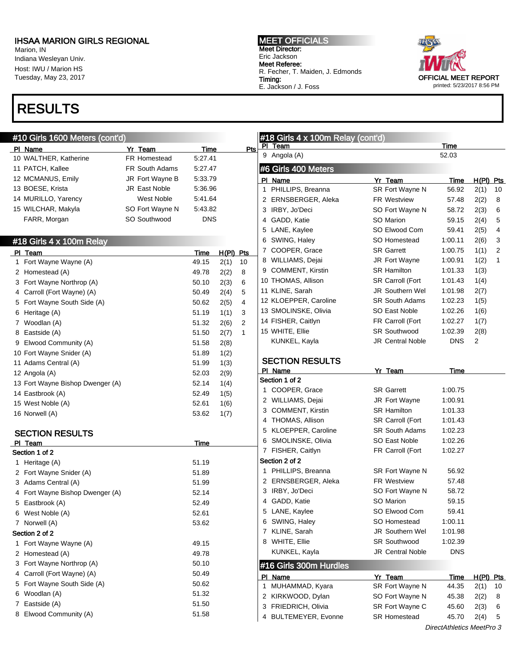Marion, IN Indiana Wesleyan Univ. Host: IWU / Marion HS Tuesday, May 23, 2017

## RESULTS

### #10 Girls 1600 Meters (cont'd)

|   | PI Name                          | Yr Team              | <b>Time</b> |       | Pts |  |
|---|----------------------------------|----------------------|-------------|-------|-----|--|
|   | 10 WALTHER, Katherine            | <b>FR Homestead</b>  | 5:27.41     |       |     |  |
|   | 11 PATCH, Kallee                 | FR South Adams       | 5:27.47     |       |     |  |
|   | 12 MCMANUS, Emily                | JR Fort Wayne B      | 5:33.79     |       |     |  |
|   | 13 BOESE, Krista                 | <b>JR East Noble</b> | 5:36.96     |       |     |  |
|   | 14 MURILLO, Yarency              | West Noble           | 5:41.64     |       |     |  |
|   | 15 WILCHAR, Makyla               | SO Fort Wayne N      | 5:43.82     |       |     |  |
|   | FARR, Morgan                     | SO Southwood         | <b>DNS</b>  |       |     |  |
|   |                                  |                      |             |       |     |  |
|   | #18 Girls 4 x 100m Relay         |                      |             |       |     |  |
|   | PI Team                          |                      | <b>Time</b> | H(PI) | Pts |  |
| 1 | Fort Wayne Wayne (A)             |                      | 49.15       | 2(1)  | 10  |  |
| 2 | Homestead (A)                    |                      | 49.78       | 2(2)  | 8   |  |
|   | 3 Fort Wayne Northrop (A)        |                      | 50.10       | 2(3)  | 6   |  |
|   | 4 Carroll (Fort Wayne) (A)       |                      | 50.49       | 2(4)  | 5   |  |
| 5 | Fort Wayne South Side (A)        |                      | 50.62       | 2(5)  | 4   |  |
| 6 | Heritage (A)                     |                      | 51.19       | 1(1)  | 3   |  |
| 7 | Woodlan (A)                      |                      | 51.32       | 2(6)  | 2   |  |
| 8 | Eastside (A)                     |                      | 51.50       | 2(7)  | 1   |  |
| 9 | Elwood Community (A)             |                      | 51.58       | 2(8)  |     |  |
|   | 10 Fort Wayne Snider (A)         |                      | 51.89       | 1(2)  |     |  |
|   | 11 Adams Central (A)             |                      | 51.99       | 1(3)  |     |  |
|   | 12 Angola (A)                    |                      | 52.03       | 2(9)  |     |  |
|   | 13 Fort Wayne Bishop Dwenger (A) |                      | 52.14       | 1(4)  |     |  |
|   | 14 Eastbrook (A)                 |                      | 52.49       | 1(5)  |     |  |
|   | 15 West Noble (A)                |                      | 52.61       | 1(6)  |     |  |
|   | 16 Norwell (A)                   |                      | 53.62       | 1(7)  |     |  |
|   | <b>SECTION RESULTS</b>           |                      |             |       |     |  |

| PI. | Team                          | Time  |
|-----|-------------------------------|-------|
|     | Section 1 of 2                |       |
| 1   | Heritage (A)                  | 51.19 |
|     | 2 Fort Wayne Snider (A)       | 51.89 |
| 3   | Adams Central (A)             | 51.99 |
| 4   | Fort Wayne Bishop Dwenger (A) | 52.14 |
| 5   | Eastbrook (A)                 | 52.49 |
| 6   | West Noble (A)                | 52.61 |
| 7   | Norwell (A)                   | 53.62 |
|     | Section 2 of 2                |       |
| 1.  | Fort Wayne Wayne (A)          | 49.15 |
| 2   | Homestead (A)                 | 49.78 |
| 3   | Fort Wayne Northrop (A)       | 50.10 |
| 4   | Carroll (Fort Wayne) (A)      | 50.49 |
| 5   | Fort Wayne South Side (A)     | 50.62 |
| 6   | Woodlan (A)                   | 51.32 |
| 7   | Eastside (A)                  | 51.50 |
| 8   | Elwood Community (A)          | 51.58 |

MEET OFFICIALS Meet Director: Eric Jackson Meet Referee: R. Fecher, T. Maiden, J. Edmonds Timing: E. Jackson / J. Foss



|   | #18 Girls 4 x 100m Relay (cont'd) |                         |                           |                  |    |
|---|-----------------------------------|-------------------------|---------------------------|------------------|----|
|   | PI Team                           |                         | Time                      |                  |    |
|   | 9 Angola (A)                      |                         | 52.03                     |                  |    |
|   | #6 Girls 400 Meters               |                         |                           |                  |    |
|   | PI Name                           | Yr Team                 | Time                      | <u>H(PI) Pts</u> |    |
| 1 | PHILLIPS, Breanna                 | SR Fort Wayne N         | 56.92                     | 2(1)             | 10 |
|   | 2 ERNSBERGER, Aleka               | <b>FR Westview</b>      | 57.48                     | 2(2)             | 8  |
|   | 3 IRBY, Jo'Deci                   | SO Fort Wayne N         | 58.72                     | 2(3)             | 6  |
|   | 4 GADD, Katie                     | SO Marion               | 59.15                     | 2(4)             | 5  |
|   | 5 LANE, Kaylee                    | SO Elwood Com           | 59.41                     | 2(5)             | 4  |
|   | 6 SWING, Haley                    | SO Homestead            | 1:00.11                   | 2(6)             | 3  |
|   | 7 COOPER, Grace                   | <b>SR Garrett</b>       | 1:00.75                   | 1(1)             | 2  |
|   | 8 WILLIAMS, Dejai                 | <b>JR Fort Wayne</b>    | 1:00.91                   | 1(2)             | 1  |
|   | 9 COMMENT, Kirstin                | <b>SR Hamilton</b>      | 1:01.33                   | 1(3)             |    |
|   | 10 THOMAS, Allison                | SR Carroll (Fort        | 1:01.43                   | 1(4)             |    |
|   | 11 KLINE, Sarah                   | <b>JR Southern Wel</b>  | 1:01.98                   | 2(7)             |    |
|   | 12 KLOEPPER, Caroline             | <b>SR South Adams</b>   | 1:02.23                   | 1(5)             |    |
|   | 13 SMOLINSKE, Olivia              | SO East Noble           | 1:02.26                   | 1(6)             |    |
|   | 14 FISHER, Caitlyn                | FR Carroll (Fort        | 1:02.27                   | 1(7)             |    |
|   | 15 WHITE, Ellie                   | <b>SR Southwood</b>     | 1:02.39                   | 2(8)             |    |
|   | KUNKEL, Kayla                     | <b>JR Central Noble</b> | <b>DNS</b>                | 2                |    |
|   | <b>SECTION RESULTS</b>            |                         |                           |                  |    |
|   | PI Name                           | Yr Team                 | Time                      |                  |    |
|   | Section 1 of 2                    |                         |                           |                  |    |
|   | 1 COOPER, Grace                   | <b>SR Garrett</b>       | 1:00.75                   |                  |    |
|   | 2 WILLIAMS, Dejai                 | JR Fort Wayne           | 1:00.91                   |                  |    |
|   | 3 COMMENT, Kirstin                | <b>SR Hamilton</b>      | 1:01.33                   |                  |    |
|   | 4 THOMAS, Allison                 | <b>SR Carroll (Fort</b> | 1:01.43                   |                  |    |
|   | 5 KLOEPPER, Caroline              | <b>SR South Adams</b>   | 1:02.23                   |                  |    |
|   | 6 SMOLINSKE, Olivia               | SO East Noble           | 1:02.26                   |                  |    |
|   | 7 FISHER, Caitlyn                 | FR Carroll (Fort        | 1:02.27                   |                  |    |
|   | Section 2 of 2                    |                         |                           |                  |    |
|   | 1 PHILLIPS, Breanna               | SR Fort Wayne N         | 56.92                     |                  |    |
|   | 2 ERNSBERGER, Aleka               | <b>FR Westview</b>      | 57.48                     |                  |    |
|   | 3 IRBY, Jo'Deci                   | SO Fort Wayne N         | 58.72                     |                  |    |
|   | 4 GADD, Katie                     | SO Marion               | 59.15                     |                  |    |
|   | 5 LANE, Kaylee                    | SO Elwood Com           | 59.41                     |                  |    |
|   | 6 SWING, Haley                    | SO Homestead            | 1:00.11                   |                  |    |
|   | 7 KLINE, Sarah                    | JR Southern Wel         | 1:01.98                   |                  |    |
|   | 8 WHITE, Ellie                    | <b>SR Southwood</b>     | 1:02.39                   |                  |    |
|   | KUNKEL, Kayla                     | <b>JR Central Noble</b> | <b>DNS</b>                |                  |    |
|   | #16 Girls 300m Hurdles            |                         |                           |                  |    |
|   | PI Name                           | <u>Yr Team</u>          | <u>Time</u>               | $H(PI)$ Pts      |    |
| 1 | MUHAMMAD, Kyara                   | SR Fort Wayne N         | 44.35                     | 2(1)             | 10 |
|   | 2 KIRKWOOD, Dylan                 | SO Fort Wayne N         | 45.38                     | 2(2)             | 8  |
| 3 | FRIEDRICH, Olivia                 | SR Fort Wayne C         | 45.60                     | 2(3)             | 6  |
| 4 | <b>BULTEMEYER, Evonne</b>         | <b>SR Homestead</b>     | 45.70                     | 2(4)             | 5  |
|   |                                   |                         | DirectAthletics MeetPro 3 |                  |    |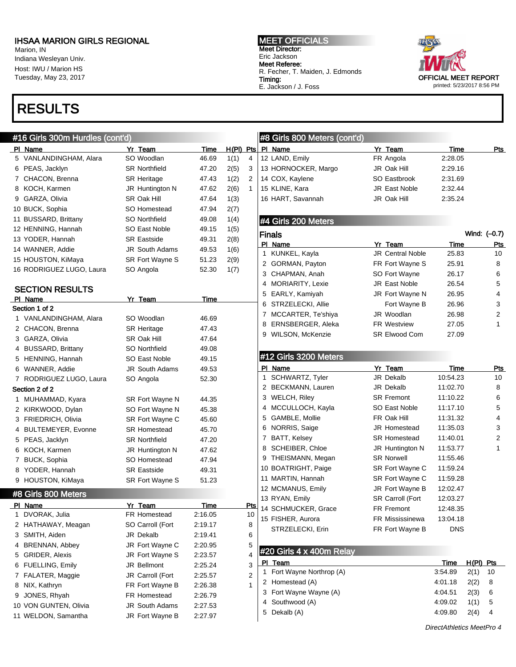Marion, IN Indiana Wesleyan Univ. Host: IWU / Marion HS Tuesday, May 23, 2017

## RESULTS

### #16 Girls 300m Hurdles (cont'd)

PI Name Yr Team Time H(PI) Pts 5 VANLANDINGHAM, Alara SO Woodlan 46.69 1(1) 4 6 PEAS, Jacklyn SR Northfield 47.20 2(5) 3 7 CHACON, Brenna **SR Heritage** 47.43 1(2) 2 8 KOCH, Karmen JR Huntington N 47.62 2(6) 1 9 GARZA, Olivia **SR Oak Hill** 47.64 1(3) 10 BUCK, Sophia SO Homestead 47.94 2(7) 11 BUSSARD, Brittany SO Northfield 49.08 1(4) 12 HENNING, Hannah SO East Noble 49.15 1(5) 13 YODER, Hannah SR Eastside 49.31 2(8) 14 WANNER, Addie JR South Adams 49.53 1(6) 15 HOUSTON, KiMaya SR Fort Wayne S 51.23 2(9) 16 RODRIGUEZ LUGO, Laura SO Angola 52.30 1(7) SECTION RESULTS PI Name Yr Team Time Section 1 of 2 1 VANLANDINGHAM, Alara SO Woodlan 46.69 2 CHACON, Brenna SR Heritage 47.43 3 GARZA, Olivia SR Oak Hill 47.64 4 BUSSARD, Brittany SO Northfield 49.08 5 HENNING, Hannah SO East Noble 49.15 6 WANNER, Addie JR South Adams 49.53 7 RODRIGUEZ LUGO, Laura SO Angola 52.30 Section 2 of 2 1 MUHAMMAD, Kyara SR Fort Wayne N 44.35 2 KIRKWOOD, Dylan SO Fort Wayne N 45.38 3 FRIEDRICH, Olivia SR Fort Wayne C 45.60 4 BULTEMEYER, Evonne SR Homestead 45.70 5 PEAS, Jacklyn SR Northfield 47.20 6 KOCH, Karmen JR Huntington N 47.62 7 BUCK, Sophia SO Homestead 47.94 8 YODER, Hannah SR Eastside 49.31 9 HOUSTON, KiMaya SR Fort Wayne S 51.23 #8 Girls 800 Meters PI Name **Product Product Product Product Product** Product Product Product Product Product Product Product Product Product Product Product Product Product Product Product Product Product Product Product Product Product Prod 1 DVORAK, Julia FR Homestead 2:16.05 10 2 HATHAWAY, Meagan SO Carroll (Fort 2:19.17 8 3 SMITH, Aiden JR Dekalb 2:19.41 6

4 BRENNAN, Abbey **JR Fort Wayne C** 2:20.95 5 5 GRIDER, Alexis JR Fort Wayne S 2:23.57 4 6 FUELLING, Emily JR Bellmont 2:25.24 3 7 FALATER, Maggie JR Carroll (Fort 2:25.57 2 8 NIX, Kathryn **FR Fort Wayne B** 2:26.38 1

9 JONES, Rhyah FR Homestead 2:26.79 10 VON GUNTEN, Olivia JR South Adams 2:27.53 11 WELDON, Samantha JR Fort Wayne B 2:27.97 MEET OFFICIALS Meet Director: Eric Jackson Meet Referee: R. Fecher, T. Maiden, J. Edmonds Timing: E. Jackson / J. Foss



### #8 Girls 800 Meters (cont'd) PI Name **Product Product Product Product Product** Product Product Product Product Product Product Product Product Product Product Product Product Product Product Product Product Product Product Product Product Product Prod 12 LAND, Emily **FR Angola** 2:28.05 13 HORNOCKER, Margo JR Oak Hill 2:29.16 14 COX, Kaylene SO Eastbrook 2:31.69 15 KLINE, Kara **JR East Noble** 2:32.44 16 HART, Savannah JR Oak Hill 2:35.24

### #4 Girls 200 Meters

|   | Finals              |                         |       | Wind: (-0.7) |
|---|---------------------|-------------------------|-------|--------------|
|   | PI Name             | Yr Team                 | Time  | Pts          |
|   | 1 KUNKEL, Kayla     | <b>JR Central Noble</b> | 25.83 | 10           |
|   | 2 GORMAN, Payton    | FR Fort Wayne S         | 25.91 | 8            |
|   | 3 CHAPMAN, Anah     | SO Fort Wayne           | 26.17 | 6            |
|   | 4 MORIARITY, Lexie  | <b>JR East Noble</b>    | 26.54 | 5            |
|   | 5 EARLY, Kamiyah    | JR Fort Wayne N         | 26.95 | 4            |
|   | 6 STRZELECKI, Allie | Fort Wayne B            | 26.96 | 3            |
| 7 | MCCARTER, Te'shiya  | JR Woodlan              | 26.98 | 2            |
| 8 | ERNSBERGER, Aleka   | <b>FR Westview</b>      | 27.05 | 1            |
| 9 | WILSON, McKenzie    | <b>SR Elwood Com</b>    | 27.09 |              |

### #12 Girls 3200 Meters

|   | PI Name             | Yr Team                 | Time     | Pts |
|---|---------------------|-------------------------|----------|-----|
| 1 | SCHWARTZ, Tyler     | JR Dekalb               | 10:54.23 | 10  |
| 2 | BECKMANN, Lauren    | JR Dekalb               | 11:02.70 | 8   |
| 3 | <b>WELCH, Riley</b> | <b>SR Fremont</b>       | 11:10.22 | 6   |
| 4 | MCCULLOCH, Kayla    | SO East Noble           | 11:17.10 | 5   |
| 5 | GAMBLE, Mollie      | FR Oak Hill             | 11:31.32 | 4   |
| 6 | NORRIS, Saige       | <b>JR Homestead</b>     | 11:35.03 | 3   |
| 7 | BATT, Kelsey        | <b>SR Homestead</b>     | 11:40.01 | 2   |
| 8 | SCHEIBER, Chloe     | JR Huntington N         | 11:53.77 | 1   |
| 9 | THEISMANN, Megan    | <b>SR Norwell</b>       | 11:55.46 |     |
|   | 10 BOATRIGHT, Paige | SR Fort Wayne C         | 11:59.24 |     |
|   | 11 MARTIN, Hannah   | SR Fort Wayne C         | 11:59.28 |     |
|   | 12 MCMANUS, Emily   | JR Fort Wayne B         | 12:02.47 |     |
|   | 13 RYAN, Emily      | <b>SR Carroll (Fort</b> | 12:03.27 |     |
|   | 14 SCHMUCKER, Grace | <b>FR Fremont</b>       | 12:48.35 |     |
|   | 15 FISHER, Aurora   | <b>FR Mississinewa</b>  | 13:04.18 |     |
|   | STRZELECKI, Erin    | FR Fort Wayne B         | DNS      |     |

### #20 Girls 4 x 400m Relay

| Team                      | Time    | $H(PI)$ Pts |    |
|---------------------------|---------|-------------|----|
| 1 Fort Wayne Northrop (A) | 3:54.89 | 2(1)        | 10 |
| 2 Homestead (A)           | 4:01.18 | 2(2)        | 8  |
| 3 Fort Wayne Wayne (A)    | 4:04.51 | 2(3)        | 6  |
| 4 Southwood (A)           | 4:09.02 | 1(1)        | 5  |
| 5 Dekalb (A)              | 4:09.80 | 2(4)        | 4  |
|                           |         |             |    |

DirectAthletics MeetPro 4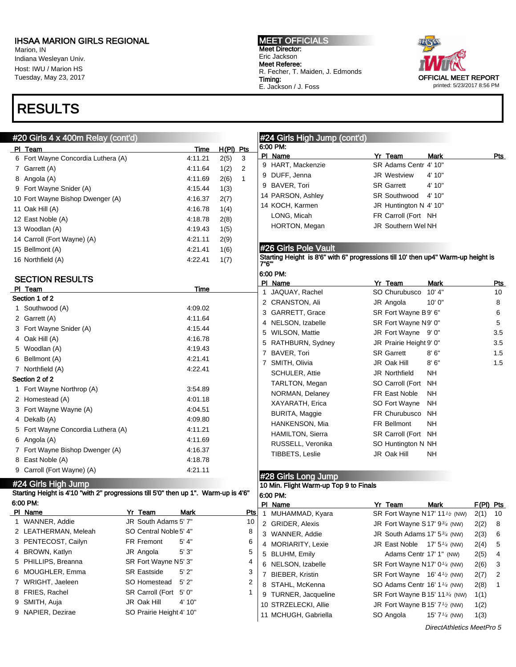Marion, IN Indiana Wesleyan Univ. Host: IWU / Marion HS Tuesday, May 23, 2017

## RESULTS

### $#20$  Girls  $\overline{4}$  x 400m Relay

MEET OFFICIALS Meet Director: Eric Jackson Meet Referee: R. Fecher, T. Maiden, J. Edmonds Timing: E. Jackson / J. Foss



| 6:00 PM:<br>$H(PI)$ Pts<br>PI Team<br>Time<br>PI Name<br>Yr Team<br>Pts<br>Mark<br>6 Fort Wayne Concordia Luthera (A)<br>2(5)<br>4:11.21<br>3<br>SR Adams Centr 4' 10"<br>9 HART, Mackenzie<br>1(2)<br>$\overline{c}$<br>7 Garrett (A)<br>4:11.64<br>9 DUFF, Jenna<br>4' 10"<br>JR Westview<br>2(6)<br>$\mathbf{1}$<br>8 Angola (A)<br>4:11.69<br>9 BAVER, Tori<br><b>SR Garrett</b><br>4' 10"<br>9 Fort Wayne Snider (A)<br>1(3)<br>4:15.44<br>14 PARSON, Ashley<br><b>SR Southwood</b><br>4' 10"<br>10 Fort Wayne Bishop Dwenger (A)<br>4:16.37<br>2(7)<br>14 KOCH, Karmen<br>JR Huntington N 4' 10"<br>4:16.78<br>11 Oak Hill (A)<br>1(4)<br>LONG, Micah<br>FR Carroll (Fort NH<br>12 East Noble (A)<br>4:18.78<br>2(8)<br>HORTON, Megan<br>JR Southern Wel NH<br>1(5)<br>13 Woodlan (A)<br>4:19.43<br>4:21.11<br>2(9)<br>14 Carroll (Fort Wayne) (A)<br>#26 Girls Pole Vault<br>4:21.41<br>1(6)<br>15 Bellmont (A)<br>Starting Height is 8'6" with 6" progressions till 10' then up4" Warm-up height is<br>4:22.41<br>1(7)<br>7"6"'<br>6:00 PM:<br><b>SECTION RESULTS</b><br>PI Name<br>Yr Team<br>Mark<br><u>Pts</u><br>PI Team<br>Time<br>SO Churubusco<br>10' 4"<br>1 JAQUAY, Rachel<br>10<br>Section 1 of 2<br>2 CRANSTON, Ali<br>JR Angola<br>10'0''<br>8<br>1 Southwood (A)<br>4:09.02<br>3 GARRETT, Grace<br>SR Fort Wayne B9' 6"<br>6<br>2 Garrett (A)<br>4:11.64<br>4 NELSON, Izabelle<br>SR Fort Wayne N9' 0"<br>5<br>3 Fort Wayne Snider (A)<br>4:15.44<br>5 WILSON, Mattie<br>JR Fort Wayne 9' 0"<br>3.5<br>4:16.78<br>4 Oak Hill (A)<br>5 RATHBURN, Sydney<br>JR Prairie Height 9' 0"<br>3.5<br>5 Woodlan (A)<br>4:19.43<br>7 BAVER, Tori<br><b>SR Garrett</b><br>8'6''<br>1.5<br>6 Bellmont (A)<br>4:21.41<br>1.5<br>7 SMITH, Olivia<br>JR Oak Hill<br>8'6''<br>7 Northfield (A)<br>4:22.41<br><b>SCHULER, Attie</b><br>JR Northfield<br>NΗ<br>TARLTON, Megan<br>SO Carroll (Fort NH<br>1 Fort Wayne Northrop (A)<br>3:54.89<br>FR East Noble<br><b>NH</b><br>NORMAN, Delaney<br>2 Homestead (A)<br>4:01.18<br>XAYARATH, Erica<br>SO Fort Wayne<br><b>NH</b><br>3 Fort Wayne Wayne (A)<br>4:04.51<br><b>BURITA, Maggie</b><br>FR Churubusco<br>NH<br>4:09.80<br>4 Dekalb (A)<br>HANKENSON, Mia<br>FR Bellmont<br>NΗ<br>5 Fort Wayne Concordia Luthera (A)<br>4:11.21<br><b>HAMILTON, Sierra</b><br>SR Carroll (Fort NH<br>4:11.69<br>6 Angola (A)<br>RUSSELL, Veronika<br>SO Huntington N NH<br>7 Fort Wayne Bishop Dwenger (A)<br>4:16.37<br>TIBBETS, Leslie<br>JR Oak Hill<br>NΗ<br>8 East Noble (A)<br>4:18.78<br>9 Carroll (Fort Wayne) (A)<br>4:21.11<br>#28 Girls Long Jump<br>#24 Girls High Jump<br>10 Min. Flight Warm-up Top 9 to Finals<br>Starting Height is 4'10 "with 2" progressions till 5'0" then up 1". Warm-up is 4'6"<br>6:00 PM:<br>PI Name<br>F(PI) Pts<br>Yr Team<br>Mark<br>Yr Team<br><b>Mark</b><br><u>Pts</u><br>$\mathbf{1}$<br>MUHAMMAD, Kyara<br>SR Fort Wayne N17' 11 <sup>1/2</sup> (NW)<br>2(1)<br>10<br>1 WANNER, Addie<br>JR South Adams 5' 7"<br>10<br>2 GRIDER, Alexis<br>JR Fort Wayne S17' 93/4 (NW)<br>2(2)<br>8<br>SO Central Noble 5' 4"<br>2 LEATHERMAN, Meleah<br>8<br>3 WANNER, Addie<br>JR South Adams $17'$ 5 $\frac{3}{4}$ (NW)<br>2(3)<br>6<br>3 PENTECOST, Cailyn<br>FR Fremont<br>5' 4"<br>6<br>4 MORIARITY, Lexie<br>JR East Noble $17'5''$ (NW)<br>2(4)<br>5<br>5'3"<br>5<br>4 BROWN, Katlyn<br>JR Angola<br>5 BLUHM, Emily<br>Adams Centr 17' 1" (NW)<br>2(5)<br>4<br>5 PHILLIPS, Breanna<br>SR Fort Wayne N5' 3"<br>4<br>6 NELSON, Izabelle<br>SR Fort Wayne N17' 0 <sup>1/4</sup> (NW)<br>2(6)<br>3<br>6 MOUGHLER, Emma<br><b>SR Eastside</b><br>5'2"<br>3<br>7 BIEBER, Kristin<br>SR Fort Wayne $16' 4'$ (NW)<br>2(7)<br>2<br>7 WRIGHT, Jaeleen<br>SO Homestead<br>5'2"<br>2<br>8 STAHL, McKenna<br>SO Adams Centr 16' 1 <sup>1/4</sup> (NW)<br>2(8)<br>-1<br>8 FRIES, Rachel<br>SR Carroll (Fort 5' 0"<br>1<br>9 TURNER, Jacqueline<br>SR Fort Wayne B 15' 11 <sup>3/4</sup> (NW)<br>1(1)<br>JR Oak Hill<br>4' 10"<br>9 SMITH, Auja<br>10 STRZELECKI, Allie<br>JR Fort Wayne B 15' $7\frac{1}{2}$ (NW)<br>1(2)<br>9 NAPIER, Dezirae<br>SO Prairie Height 4' 10"<br>11 MCHUGH, Gabriella<br>SO Angola<br>1(3)<br>15' 7 $\frac{1}{4}$ (NW) | #20 Girls 4 x 400m Relay (cont'd) |  |  | #24 Girls High Jump (cont'd) |  |  |  |
|----------------------------------------------------------------------------------------------------------------------------------------------------------------------------------------------------------------------------------------------------------------------------------------------------------------------------------------------------------------------------------------------------------------------------------------------------------------------------------------------------------------------------------------------------------------------------------------------------------------------------------------------------------------------------------------------------------------------------------------------------------------------------------------------------------------------------------------------------------------------------------------------------------------------------------------------------------------------------------------------------------------------------------------------------------------------------------------------------------------------------------------------------------------------------------------------------------------------------------------------------------------------------------------------------------------------------------------------------------------------------------------------------------------------------------------------------------------------------------------------------------------------------------------------------------------------------------------------------------------------------------------------------------------------------------------------------------------------------------------------------------------------------------------------------------------------------------------------------------------------------------------------------------------------------------------------------------------------------------------------------------------------------------------------------------------------------------------------------------------------------------------------------------------------------------------------------------------------------------------------------------------------------------------------------------------------------------------------------------------------------------------------------------------------------------------------------------------------------------------------------------------------------------------------------------------------------------------------------------------------------------------------------------------------------------------------------------------------------------------------------------------------------------------------------------------------------------------------------------------------------------------------------------------------------------------------------------------------------------------------------------------------------------------------------------------------------------------------------------------------------------------------------------------------------------------------------------------------------------------------------------------------------------------------------------------------------------------------------------------------------------------------------------------------------------------------------------------------------------------------------------------------------------------------------------------------------------------------------------------------------------------------------------------------------------------------------------------------------------------------------------------------------------------------------------------------------------------------------------------------------------------------------------------------------------------------------------------------------------------------------------------------------------------------------------------------------------------------------------------------------------------------------------------------------------------------------------------------|-----------------------------------|--|--|------------------------------|--|--|--|
|                                                                                                                                                                                                                                                                                                                                                                                                                                                                                                                                                                                                                                                                                                                                                                                                                                                                                                                                                                                                                                                                                                                                                                                                                                                                                                                                                                                                                                                                                                                                                                                                                                                                                                                                                                                                                                                                                                                                                                                                                                                                                                                                                                                                                                                                                                                                                                                                                                                                                                                                                                                                                                                                                                                                                                                                                                                                                                                                                                                                                                                                                                                                                                                                                                                                                                                                                                                                                                                                                                                                                                                                                                                                                                                                                                                                                                                                                                                                                                                                                                                                                                                                                                                                                      |                                   |  |  |                              |  |  |  |
|                                                                                                                                                                                                                                                                                                                                                                                                                                                                                                                                                                                                                                                                                                                                                                                                                                                                                                                                                                                                                                                                                                                                                                                                                                                                                                                                                                                                                                                                                                                                                                                                                                                                                                                                                                                                                                                                                                                                                                                                                                                                                                                                                                                                                                                                                                                                                                                                                                                                                                                                                                                                                                                                                                                                                                                                                                                                                                                                                                                                                                                                                                                                                                                                                                                                                                                                                                                                                                                                                                                                                                                                                                                                                                                                                                                                                                                                                                                                                                                                                                                                                                                                                                                                                      |                                   |  |  |                              |  |  |  |
|                                                                                                                                                                                                                                                                                                                                                                                                                                                                                                                                                                                                                                                                                                                                                                                                                                                                                                                                                                                                                                                                                                                                                                                                                                                                                                                                                                                                                                                                                                                                                                                                                                                                                                                                                                                                                                                                                                                                                                                                                                                                                                                                                                                                                                                                                                                                                                                                                                                                                                                                                                                                                                                                                                                                                                                                                                                                                                                                                                                                                                                                                                                                                                                                                                                                                                                                                                                                                                                                                                                                                                                                                                                                                                                                                                                                                                                                                                                                                                                                                                                                                                                                                                                                                      |                                   |  |  |                              |  |  |  |
|                                                                                                                                                                                                                                                                                                                                                                                                                                                                                                                                                                                                                                                                                                                                                                                                                                                                                                                                                                                                                                                                                                                                                                                                                                                                                                                                                                                                                                                                                                                                                                                                                                                                                                                                                                                                                                                                                                                                                                                                                                                                                                                                                                                                                                                                                                                                                                                                                                                                                                                                                                                                                                                                                                                                                                                                                                                                                                                                                                                                                                                                                                                                                                                                                                                                                                                                                                                                                                                                                                                                                                                                                                                                                                                                                                                                                                                                                                                                                                                                                                                                                                                                                                                                                      |                                   |  |  |                              |  |  |  |
|                                                                                                                                                                                                                                                                                                                                                                                                                                                                                                                                                                                                                                                                                                                                                                                                                                                                                                                                                                                                                                                                                                                                                                                                                                                                                                                                                                                                                                                                                                                                                                                                                                                                                                                                                                                                                                                                                                                                                                                                                                                                                                                                                                                                                                                                                                                                                                                                                                                                                                                                                                                                                                                                                                                                                                                                                                                                                                                                                                                                                                                                                                                                                                                                                                                                                                                                                                                                                                                                                                                                                                                                                                                                                                                                                                                                                                                                                                                                                                                                                                                                                                                                                                                                                      |                                   |  |  |                              |  |  |  |
|                                                                                                                                                                                                                                                                                                                                                                                                                                                                                                                                                                                                                                                                                                                                                                                                                                                                                                                                                                                                                                                                                                                                                                                                                                                                                                                                                                                                                                                                                                                                                                                                                                                                                                                                                                                                                                                                                                                                                                                                                                                                                                                                                                                                                                                                                                                                                                                                                                                                                                                                                                                                                                                                                                                                                                                                                                                                                                                                                                                                                                                                                                                                                                                                                                                                                                                                                                                                                                                                                                                                                                                                                                                                                                                                                                                                                                                                                                                                                                                                                                                                                                                                                                                                                      |                                   |  |  |                              |  |  |  |
|                                                                                                                                                                                                                                                                                                                                                                                                                                                                                                                                                                                                                                                                                                                                                                                                                                                                                                                                                                                                                                                                                                                                                                                                                                                                                                                                                                                                                                                                                                                                                                                                                                                                                                                                                                                                                                                                                                                                                                                                                                                                                                                                                                                                                                                                                                                                                                                                                                                                                                                                                                                                                                                                                                                                                                                                                                                                                                                                                                                                                                                                                                                                                                                                                                                                                                                                                                                                                                                                                                                                                                                                                                                                                                                                                                                                                                                                                                                                                                                                                                                                                                                                                                                                                      |                                   |  |  |                              |  |  |  |
|                                                                                                                                                                                                                                                                                                                                                                                                                                                                                                                                                                                                                                                                                                                                                                                                                                                                                                                                                                                                                                                                                                                                                                                                                                                                                                                                                                                                                                                                                                                                                                                                                                                                                                                                                                                                                                                                                                                                                                                                                                                                                                                                                                                                                                                                                                                                                                                                                                                                                                                                                                                                                                                                                                                                                                                                                                                                                                                                                                                                                                                                                                                                                                                                                                                                                                                                                                                                                                                                                                                                                                                                                                                                                                                                                                                                                                                                                                                                                                                                                                                                                                                                                                                                                      |                                   |  |  |                              |  |  |  |
|                                                                                                                                                                                                                                                                                                                                                                                                                                                                                                                                                                                                                                                                                                                                                                                                                                                                                                                                                                                                                                                                                                                                                                                                                                                                                                                                                                                                                                                                                                                                                                                                                                                                                                                                                                                                                                                                                                                                                                                                                                                                                                                                                                                                                                                                                                                                                                                                                                                                                                                                                                                                                                                                                                                                                                                                                                                                                                                                                                                                                                                                                                                                                                                                                                                                                                                                                                                                                                                                                                                                                                                                                                                                                                                                                                                                                                                                                                                                                                                                                                                                                                                                                                                                                      |                                   |  |  |                              |  |  |  |
|                                                                                                                                                                                                                                                                                                                                                                                                                                                                                                                                                                                                                                                                                                                                                                                                                                                                                                                                                                                                                                                                                                                                                                                                                                                                                                                                                                                                                                                                                                                                                                                                                                                                                                                                                                                                                                                                                                                                                                                                                                                                                                                                                                                                                                                                                                                                                                                                                                                                                                                                                                                                                                                                                                                                                                                                                                                                                                                                                                                                                                                                                                                                                                                                                                                                                                                                                                                                                                                                                                                                                                                                                                                                                                                                                                                                                                                                                                                                                                                                                                                                                                                                                                                                                      |                                   |  |  |                              |  |  |  |
|                                                                                                                                                                                                                                                                                                                                                                                                                                                                                                                                                                                                                                                                                                                                                                                                                                                                                                                                                                                                                                                                                                                                                                                                                                                                                                                                                                                                                                                                                                                                                                                                                                                                                                                                                                                                                                                                                                                                                                                                                                                                                                                                                                                                                                                                                                                                                                                                                                                                                                                                                                                                                                                                                                                                                                                                                                                                                                                                                                                                                                                                                                                                                                                                                                                                                                                                                                                                                                                                                                                                                                                                                                                                                                                                                                                                                                                                                                                                                                                                                                                                                                                                                                                                                      |                                   |  |  |                              |  |  |  |
|                                                                                                                                                                                                                                                                                                                                                                                                                                                                                                                                                                                                                                                                                                                                                                                                                                                                                                                                                                                                                                                                                                                                                                                                                                                                                                                                                                                                                                                                                                                                                                                                                                                                                                                                                                                                                                                                                                                                                                                                                                                                                                                                                                                                                                                                                                                                                                                                                                                                                                                                                                                                                                                                                                                                                                                                                                                                                                                                                                                                                                                                                                                                                                                                                                                                                                                                                                                                                                                                                                                                                                                                                                                                                                                                                                                                                                                                                                                                                                                                                                                                                                                                                                                                                      | 16 Northfield (A)                 |  |  |                              |  |  |  |
|                                                                                                                                                                                                                                                                                                                                                                                                                                                                                                                                                                                                                                                                                                                                                                                                                                                                                                                                                                                                                                                                                                                                                                                                                                                                                                                                                                                                                                                                                                                                                                                                                                                                                                                                                                                                                                                                                                                                                                                                                                                                                                                                                                                                                                                                                                                                                                                                                                                                                                                                                                                                                                                                                                                                                                                                                                                                                                                                                                                                                                                                                                                                                                                                                                                                                                                                                                                                                                                                                                                                                                                                                                                                                                                                                                                                                                                                                                                                                                                                                                                                                                                                                                                                                      |                                   |  |  |                              |  |  |  |
|                                                                                                                                                                                                                                                                                                                                                                                                                                                                                                                                                                                                                                                                                                                                                                                                                                                                                                                                                                                                                                                                                                                                                                                                                                                                                                                                                                                                                                                                                                                                                                                                                                                                                                                                                                                                                                                                                                                                                                                                                                                                                                                                                                                                                                                                                                                                                                                                                                                                                                                                                                                                                                                                                                                                                                                                                                                                                                                                                                                                                                                                                                                                                                                                                                                                                                                                                                                                                                                                                                                                                                                                                                                                                                                                                                                                                                                                                                                                                                                                                                                                                                                                                                                                                      |                                   |  |  |                              |  |  |  |
|                                                                                                                                                                                                                                                                                                                                                                                                                                                                                                                                                                                                                                                                                                                                                                                                                                                                                                                                                                                                                                                                                                                                                                                                                                                                                                                                                                                                                                                                                                                                                                                                                                                                                                                                                                                                                                                                                                                                                                                                                                                                                                                                                                                                                                                                                                                                                                                                                                                                                                                                                                                                                                                                                                                                                                                                                                                                                                                                                                                                                                                                                                                                                                                                                                                                                                                                                                                                                                                                                                                                                                                                                                                                                                                                                                                                                                                                                                                                                                                                                                                                                                                                                                                                                      |                                   |  |  |                              |  |  |  |
|                                                                                                                                                                                                                                                                                                                                                                                                                                                                                                                                                                                                                                                                                                                                                                                                                                                                                                                                                                                                                                                                                                                                                                                                                                                                                                                                                                                                                                                                                                                                                                                                                                                                                                                                                                                                                                                                                                                                                                                                                                                                                                                                                                                                                                                                                                                                                                                                                                                                                                                                                                                                                                                                                                                                                                                                                                                                                                                                                                                                                                                                                                                                                                                                                                                                                                                                                                                                                                                                                                                                                                                                                                                                                                                                                                                                                                                                                                                                                                                                                                                                                                                                                                                                                      |                                   |  |  |                              |  |  |  |
|                                                                                                                                                                                                                                                                                                                                                                                                                                                                                                                                                                                                                                                                                                                                                                                                                                                                                                                                                                                                                                                                                                                                                                                                                                                                                                                                                                                                                                                                                                                                                                                                                                                                                                                                                                                                                                                                                                                                                                                                                                                                                                                                                                                                                                                                                                                                                                                                                                                                                                                                                                                                                                                                                                                                                                                                                                                                                                                                                                                                                                                                                                                                                                                                                                                                                                                                                                                                                                                                                                                                                                                                                                                                                                                                                                                                                                                                                                                                                                                                                                                                                                                                                                                                                      |                                   |  |  |                              |  |  |  |
|                                                                                                                                                                                                                                                                                                                                                                                                                                                                                                                                                                                                                                                                                                                                                                                                                                                                                                                                                                                                                                                                                                                                                                                                                                                                                                                                                                                                                                                                                                                                                                                                                                                                                                                                                                                                                                                                                                                                                                                                                                                                                                                                                                                                                                                                                                                                                                                                                                                                                                                                                                                                                                                                                                                                                                                                                                                                                                                                                                                                                                                                                                                                                                                                                                                                                                                                                                                                                                                                                                                                                                                                                                                                                                                                                                                                                                                                                                                                                                                                                                                                                                                                                                                                                      |                                   |  |  |                              |  |  |  |
|                                                                                                                                                                                                                                                                                                                                                                                                                                                                                                                                                                                                                                                                                                                                                                                                                                                                                                                                                                                                                                                                                                                                                                                                                                                                                                                                                                                                                                                                                                                                                                                                                                                                                                                                                                                                                                                                                                                                                                                                                                                                                                                                                                                                                                                                                                                                                                                                                                                                                                                                                                                                                                                                                                                                                                                                                                                                                                                                                                                                                                                                                                                                                                                                                                                                                                                                                                                                                                                                                                                                                                                                                                                                                                                                                                                                                                                                                                                                                                                                                                                                                                                                                                                                                      |                                   |  |  |                              |  |  |  |
|                                                                                                                                                                                                                                                                                                                                                                                                                                                                                                                                                                                                                                                                                                                                                                                                                                                                                                                                                                                                                                                                                                                                                                                                                                                                                                                                                                                                                                                                                                                                                                                                                                                                                                                                                                                                                                                                                                                                                                                                                                                                                                                                                                                                                                                                                                                                                                                                                                                                                                                                                                                                                                                                                                                                                                                                                                                                                                                                                                                                                                                                                                                                                                                                                                                                                                                                                                                                                                                                                                                                                                                                                                                                                                                                                                                                                                                                                                                                                                                                                                                                                                                                                                                                                      |                                   |  |  |                              |  |  |  |
|                                                                                                                                                                                                                                                                                                                                                                                                                                                                                                                                                                                                                                                                                                                                                                                                                                                                                                                                                                                                                                                                                                                                                                                                                                                                                                                                                                                                                                                                                                                                                                                                                                                                                                                                                                                                                                                                                                                                                                                                                                                                                                                                                                                                                                                                                                                                                                                                                                                                                                                                                                                                                                                                                                                                                                                                                                                                                                                                                                                                                                                                                                                                                                                                                                                                                                                                                                                                                                                                                                                                                                                                                                                                                                                                                                                                                                                                                                                                                                                                                                                                                                                                                                                                                      |                                   |  |  |                              |  |  |  |
|                                                                                                                                                                                                                                                                                                                                                                                                                                                                                                                                                                                                                                                                                                                                                                                                                                                                                                                                                                                                                                                                                                                                                                                                                                                                                                                                                                                                                                                                                                                                                                                                                                                                                                                                                                                                                                                                                                                                                                                                                                                                                                                                                                                                                                                                                                                                                                                                                                                                                                                                                                                                                                                                                                                                                                                                                                                                                                                                                                                                                                                                                                                                                                                                                                                                                                                                                                                                                                                                                                                                                                                                                                                                                                                                                                                                                                                                                                                                                                                                                                                                                                                                                                                                                      |                                   |  |  |                              |  |  |  |
|                                                                                                                                                                                                                                                                                                                                                                                                                                                                                                                                                                                                                                                                                                                                                                                                                                                                                                                                                                                                                                                                                                                                                                                                                                                                                                                                                                                                                                                                                                                                                                                                                                                                                                                                                                                                                                                                                                                                                                                                                                                                                                                                                                                                                                                                                                                                                                                                                                                                                                                                                                                                                                                                                                                                                                                                                                                                                                                                                                                                                                                                                                                                                                                                                                                                                                                                                                                                                                                                                                                                                                                                                                                                                                                                                                                                                                                                                                                                                                                                                                                                                                                                                                                                                      |                                   |  |  |                              |  |  |  |
|                                                                                                                                                                                                                                                                                                                                                                                                                                                                                                                                                                                                                                                                                                                                                                                                                                                                                                                                                                                                                                                                                                                                                                                                                                                                                                                                                                                                                                                                                                                                                                                                                                                                                                                                                                                                                                                                                                                                                                                                                                                                                                                                                                                                                                                                                                                                                                                                                                                                                                                                                                                                                                                                                                                                                                                                                                                                                                                                                                                                                                                                                                                                                                                                                                                                                                                                                                                                                                                                                                                                                                                                                                                                                                                                                                                                                                                                                                                                                                                                                                                                                                                                                                                                                      | Section 2 of 2                    |  |  |                              |  |  |  |
|                                                                                                                                                                                                                                                                                                                                                                                                                                                                                                                                                                                                                                                                                                                                                                                                                                                                                                                                                                                                                                                                                                                                                                                                                                                                                                                                                                                                                                                                                                                                                                                                                                                                                                                                                                                                                                                                                                                                                                                                                                                                                                                                                                                                                                                                                                                                                                                                                                                                                                                                                                                                                                                                                                                                                                                                                                                                                                                                                                                                                                                                                                                                                                                                                                                                                                                                                                                                                                                                                                                                                                                                                                                                                                                                                                                                                                                                                                                                                                                                                                                                                                                                                                                                                      |                                   |  |  |                              |  |  |  |
|                                                                                                                                                                                                                                                                                                                                                                                                                                                                                                                                                                                                                                                                                                                                                                                                                                                                                                                                                                                                                                                                                                                                                                                                                                                                                                                                                                                                                                                                                                                                                                                                                                                                                                                                                                                                                                                                                                                                                                                                                                                                                                                                                                                                                                                                                                                                                                                                                                                                                                                                                                                                                                                                                                                                                                                                                                                                                                                                                                                                                                                                                                                                                                                                                                                                                                                                                                                                                                                                                                                                                                                                                                                                                                                                                                                                                                                                                                                                                                                                                                                                                                                                                                                                                      |                                   |  |  |                              |  |  |  |
|                                                                                                                                                                                                                                                                                                                                                                                                                                                                                                                                                                                                                                                                                                                                                                                                                                                                                                                                                                                                                                                                                                                                                                                                                                                                                                                                                                                                                                                                                                                                                                                                                                                                                                                                                                                                                                                                                                                                                                                                                                                                                                                                                                                                                                                                                                                                                                                                                                                                                                                                                                                                                                                                                                                                                                                                                                                                                                                                                                                                                                                                                                                                                                                                                                                                                                                                                                                                                                                                                                                                                                                                                                                                                                                                                                                                                                                                                                                                                                                                                                                                                                                                                                                                                      |                                   |  |  |                              |  |  |  |
|                                                                                                                                                                                                                                                                                                                                                                                                                                                                                                                                                                                                                                                                                                                                                                                                                                                                                                                                                                                                                                                                                                                                                                                                                                                                                                                                                                                                                                                                                                                                                                                                                                                                                                                                                                                                                                                                                                                                                                                                                                                                                                                                                                                                                                                                                                                                                                                                                                                                                                                                                                                                                                                                                                                                                                                                                                                                                                                                                                                                                                                                                                                                                                                                                                                                                                                                                                                                                                                                                                                                                                                                                                                                                                                                                                                                                                                                                                                                                                                                                                                                                                                                                                                                                      |                                   |  |  |                              |  |  |  |
|                                                                                                                                                                                                                                                                                                                                                                                                                                                                                                                                                                                                                                                                                                                                                                                                                                                                                                                                                                                                                                                                                                                                                                                                                                                                                                                                                                                                                                                                                                                                                                                                                                                                                                                                                                                                                                                                                                                                                                                                                                                                                                                                                                                                                                                                                                                                                                                                                                                                                                                                                                                                                                                                                                                                                                                                                                                                                                                                                                                                                                                                                                                                                                                                                                                                                                                                                                                                                                                                                                                                                                                                                                                                                                                                                                                                                                                                                                                                                                                                                                                                                                                                                                                                                      |                                   |  |  |                              |  |  |  |
|                                                                                                                                                                                                                                                                                                                                                                                                                                                                                                                                                                                                                                                                                                                                                                                                                                                                                                                                                                                                                                                                                                                                                                                                                                                                                                                                                                                                                                                                                                                                                                                                                                                                                                                                                                                                                                                                                                                                                                                                                                                                                                                                                                                                                                                                                                                                                                                                                                                                                                                                                                                                                                                                                                                                                                                                                                                                                                                                                                                                                                                                                                                                                                                                                                                                                                                                                                                                                                                                                                                                                                                                                                                                                                                                                                                                                                                                                                                                                                                                                                                                                                                                                                                                                      |                                   |  |  |                              |  |  |  |
|                                                                                                                                                                                                                                                                                                                                                                                                                                                                                                                                                                                                                                                                                                                                                                                                                                                                                                                                                                                                                                                                                                                                                                                                                                                                                                                                                                                                                                                                                                                                                                                                                                                                                                                                                                                                                                                                                                                                                                                                                                                                                                                                                                                                                                                                                                                                                                                                                                                                                                                                                                                                                                                                                                                                                                                                                                                                                                                                                                                                                                                                                                                                                                                                                                                                                                                                                                                                                                                                                                                                                                                                                                                                                                                                                                                                                                                                                                                                                                                                                                                                                                                                                                                                                      |                                   |  |  |                              |  |  |  |
|                                                                                                                                                                                                                                                                                                                                                                                                                                                                                                                                                                                                                                                                                                                                                                                                                                                                                                                                                                                                                                                                                                                                                                                                                                                                                                                                                                                                                                                                                                                                                                                                                                                                                                                                                                                                                                                                                                                                                                                                                                                                                                                                                                                                                                                                                                                                                                                                                                                                                                                                                                                                                                                                                                                                                                                                                                                                                                                                                                                                                                                                                                                                                                                                                                                                                                                                                                                                                                                                                                                                                                                                                                                                                                                                                                                                                                                                                                                                                                                                                                                                                                                                                                                                                      |                                   |  |  |                              |  |  |  |
|                                                                                                                                                                                                                                                                                                                                                                                                                                                                                                                                                                                                                                                                                                                                                                                                                                                                                                                                                                                                                                                                                                                                                                                                                                                                                                                                                                                                                                                                                                                                                                                                                                                                                                                                                                                                                                                                                                                                                                                                                                                                                                                                                                                                                                                                                                                                                                                                                                                                                                                                                                                                                                                                                                                                                                                                                                                                                                                                                                                                                                                                                                                                                                                                                                                                                                                                                                                                                                                                                                                                                                                                                                                                                                                                                                                                                                                                                                                                                                                                                                                                                                                                                                                                                      |                                   |  |  |                              |  |  |  |
|                                                                                                                                                                                                                                                                                                                                                                                                                                                                                                                                                                                                                                                                                                                                                                                                                                                                                                                                                                                                                                                                                                                                                                                                                                                                                                                                                                                                                                                                                                                                                                                                                                                                                                                                                                                                                                                                                                                                                                                                                                                                                                                                                                                                                                                                                                                                                                                                                                                                                                                                                                                                                                                                                                                                                                                                                                                                                                                                                                                                                                                                                                                                                                                                                                                                                                                                                                                                                                                                                                                                                                                                                                                                                                                                                                                                                                                                                                                                                                                                                                                                                                                                                                                                                      |                                   |  |  |                              |  |  |  |
|                                                                                                                                                                                                                                                                                                                                                                                                                                                                                                                                                                                                                                                                                                                                                                                                                                                                                                                                                                                                                                                                                                                                                                                                                                                                                                                                                                                                                                                                                                                                                                                                                                                                                                                                                                                                                                                                                                                                                                                                                                                                                                                                                                                                                                                                                                                                                                                                                                                                                                                                                                                                                                                                                                                                                                                                                                                                                                                                                                                                                                                                                                                                                                                                                                                                                                                                                                                                                                                                                                                                                                                                                                                                                                                                                                                                                                                                                                                                                                                                                                                                                                                                                                                                                      |                                   |  |  |                              |  |  |  |
|                                                                                                                                                                                                                                                                                                                                                                                                                                                                                                                                                                                                                                                                                                                                                                                                                                                                                                                                                                                                                                                                                                                                                                                                                                                                                                                                                                                                                                                                                                                                                                                                                                                                                                                                                                                                                                                                                                                                                                                                                                                                                                                                                                                                                                                                                                                                                                                                                                                                                                                                                                                                                                                                                                                                                                                                                                                                                                                                                                                                                                                                                                                                                                                                                                                                                                                                                                                                                                                                                                                                                                                                                                                                                                                                                                                                                                                                                                                                                                                                                                                                                                                                                                                                                      | 6:00 PM:                          |  |  |                              |  |  |  |
|                                                                                                                                                                                                                                                                                                                                                                                                                                                                                                                                                                                                                                                                                                                                                                                                                                                                                                                                                                                                                                                                                                                                                                                                                                                                                                                                                                                                                                                                                                                                                                                                                                                                                                                                                                                                                                                                                                                                                                                                                                                                                                                                                                                                                                                                                                                                                                                                                                                                                                                                                                                                                                                                                                                                                                                                                                                                                                                                                                                                                                                                                                                                                                                                                                                                                                                                                                                                                                                                                                                                                                                                                                                                                                                                                                                                                                                                                                                                                                                                                                                                                                                                                                                                                      | PI Name                           |  |  |                              |  |  |  |
|                                                                                                                                                                                                                                                                                                                                                                                                                                                                                                                                                                                                                                                                                                                                                                                                                                                                                                                                                                                                                                                                                                                                                                                                                                                                                                                                                                                                                                                                                                                                                                                                                                                                                                                                                                                                                                                                                                                                                                                                                                                                                                                                                                                                                                                                                                                                                                                                                                                                                                                                                                                                                                                                                                                                                                                                                                                                                                                                                                                                                                                                                                                                                                                                                                                                                                                                                                                                                                                                                                                                                                                                                                                                                                                                                                                                                                                                                                                                                                                                                                                                                                                                                                                                                      |                                   |  |  |                              |  |  |  |
|                                                                                                                                                                                                                                                                                                                                                                                                                                                                                                                                                                                                                                                                                                                                                                                                                                                                                                                                                                                                                                                                                                                                                                                                                                                                                                                                                                                                                                                                                                                                                                                                                                                                                                                                                                                                                                                                                                                                                                                                                                                                                                                                                                                                                                                                                                                                                                                                                                                                                                                                                                                                                                                                                                                                                                                                                                                                                                                                                                                                                                                                                                                                                                                                                                                                                                                                                                                                                                                                                                                                                                                                                                                                                                                                                                                                                                                                                                                                                                                                                                                                                                                                                                                                                      |                                   |  |  |                              |  |  |  |
|                                                                                                                                                                                                                                                                                                                                                                                                                                                                                                                                                                                                                                                                                                                                                                                                                                                                                                                                                                                                                                                                                                                                                                                                                                                                                                                                                                                                                                                                                                                                                                                                                                                                                                                                                                                                                                                                                                                                                                                                                                                                                                                                                                                                                                                                                                                                                                                                                                                                                                                                                                                                                                                                                                                                                                                                                                                                                                                                                                                                                                                                                                                                                                                                                                                                                                                                                                                                                                                                                                                                                                                                                                                                                                                                                                                                                                                                                                                                                                                                                                                                                                                                                                                                                      |                                   |  |  |                              |  |  |  |
|                                                                                                                                                                                                                                                                                                                                                                                                                                                                                                                                                                                                                                                                                                                                                                                                                                                                                                                                                                                                                                                                                                                                                                                                                                                                                                                                                                                                                                                                                                                                                                                                                                                                                                                                                                                                                                                                                                                                                                                                                                                                                                                                                                                                                                                                                                                                                                                                                                                                                                                                                                                                                                                                                                                                                                                                                                                                                                                                                                                                                                                                                                                                                                                                                                                                                                                                                                                                                                                                                                                                                                                                                                                                                                                                                                                                                                                                                                                                                                                                                                                                                                                                                                                                                      |                                   |  |  |                              |  |  |  |
|                                                                                                                                                                                                                                                                                                                                                                                                                                                                                                                                                                                                                                                                                                                                                                                                                                                                                                                                                                                                                                                                                                                                                                                                                                                                                                                                                                                                                                                                                                                                                                                                                                                                                                                                                                                                                                                                                                                                                                                                                                                                                                                                                                                                                                                                                                                                                                                                                                                                                                                                                                                                                                                                                                                                                                                                                                                                                                                                                                                                                                                                                                                                                                                                                                                                                                                                                                                                                                                                                                                                                                                                                                                                                                                                                                                                                                                                                                                                                                                                                                                                                                                                                                                                                      |                                   |  |  |                              |  |  |  |
|                                                                                                                                                                                                                                                                                                                                                                                                                                                                                                                                                                                                                                                                                                                                                                                                                                                                                                                                                                                                                                                                                                                                                                                                                                                                                                                                                                                                                                                                                                                                                                                                                                                                                                                                                                                                                                                                                                                                                                                                                                                                                                                                                                                                                                                                                                                                                                                                                                                                                                                                                                                                                                                                                                                                                                                                                                                                                                                                                                                                                                                                                                                                                                                                                                                                                                                                                                                                                                                                                                                                                                                                                                                                                                                                                                                                                                                                                                                                                                                                                                                                                                                                                                                                                      |                                   |  |  |                              |  |  |  |
|                                                                                                                                                                                                                                                                                                                                                                                                                                                                                                                                                                                                                                                                                                                                                                                                                                                                                                                                                                                                                                                                                                                                                                                                                                                                                                                                                                                                                                                                                                                                                                                                                                                                                                                                                                                                                                                                                                                                                                                                                                                                                                                                                                                                                                                                                                                                                                                                                                                                                                                                                                                                                                                                                                                                                                                                                                                                                                                                                                                                                                                                                                                                                                                                                                                                                                                                                                                                                                                                                                                                                                                                                                                                                                                                                                                                                                                                                                                                                                                                                                                                                                                                                                                                                      |                                   |  |  |                              |  |  |  |
|                                                                                                                                                                                                                                                                                                                                                                                                                                                                                                                                                                                                                                                                                                                                                                                                                                                                                                                                                                                                                                                                                                                                                                                                                                                                                                                                                                                                                                                                                                                                                                                                                                                                                                                                                                                                                                                                                                                                                                                                                                                                                                                                                                                                                                                                                                                                                                                                                                                                                                                                                                                                                                                                                                                                                                                                                                                                                                                                                                                                                                                                                                                                                                                                                                                                                                                                                                                                                                                                                                                                                                                                                                                                                                                                                                                                                                                                                                                                                                                                                                                                                                                                                                                                                      |                                   |  |  |                              |  |  |  |
|                                                                                                                                                                                                                                                                                                                                                                                                                                                                                                                                                                                                                                                                                                                                                                                                                                                                                                                                                                                                                                                                                                                                                                                                                                                                                                                                                                                                                                                                                                                                                                                                                                                                                                                                                                                                                                                                                                                                                                                                                                                                                                                                                                                                                                                                                                                                                                                                                                                                                                                                                                                                                                                                                                                                                                                                                                                                                                                                                                                                                                                                                                                                                                                                                                                                                                                                                                                                                                                                                                                                                                                                                                                                                                                                                                                                                                                                                                                                                                                                                                                                                                                                                                                                                      |                                   |  |  |                              |  |  |  |
|                                                                                                                                                                                                                                                                                                                                                                                                                                                                                                                                                                                                                                                                                                                                                                                                                                                                                                                                                                                                                                                                                                                                                                                                                                                                                                                                                                                                                                                                                                                                                                                                                                                                                                                                                                                                                                                                                                                                                                                                                                                                                                                                                                                                                                                                                                                                                                                                                                                                                                                                                                                                                                                                                                                                                                                                                                                                                                                                                                                                                                                                                                                                                                                                                                                                                                                                                                                                                                                                                                                                                                                                                                                                                                                                                                                                                                                                                                                                                                                                                                                                                                                                                                                                                      |                                   |  |  |                              |  |  |  |

#### DirectAthletics MeetPro 5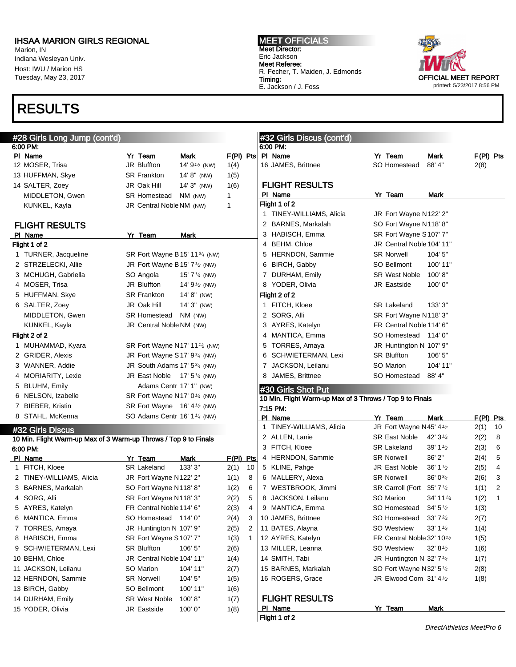Marion, IN Indiana Wesleyan Univ. Host: IWU / Marion HS Tuesday, May 23, 2017

## RESULTS

MEET OFFICIALS Meet Director: Eric Jackson Meet Referee: R. Fecher, T. Maiden, J. Edmonds Timing: E. Jackson / J. Foss



| #28 Girls Long Jump (cont'd)                                     |                                                        |                            |                     | #32 Girls Discus (cont'd)                                |                                                    |                              |                     |
|------------------------------------------------------------------|--------------------------------------------------------|----------------------------|---------------------|----------------------------------------------------------|----------------------------------------------------|------------------------------|---------------------|
| 6:00 PM:                                                         |                                                        |                            |                     | 6:00 PM:                                                 |                                                    |                              |                     |
| PI Name<br>12 MOSER, Trisa                                       | Yr Team<br>JR Bluffton                                 | Mark<br>14' $9^{1/2}$ (NW) | $F(PI)$ Pts<br>1(4) | PI Name<br>16 JAMES, Brittnee                            | Yr Team<br>SO Homestead                            | Mark<br>88'4"                | $F(PI)$ Pts<br>2(8) |
| 13 HUFFMAN, Skye                                                 | <b>SR Frankton</b>                                     | $14' 8''$ (NW)             | 1(5)                |                                                          |                                                    |                              |                     |
| 14 SALTER, Zoey                                                  | JR Oak Hill                                            | 14' 3" (NW)                | 1(6)                | <b>FLIGHT RESULTS</b>                                    |                                                    |                              |                     |
| MIDDLETON, Gwen                                                  | <b>SR Homestead</b>                                    | NM (NW)                    | $\mathbf{1}$        | PI Name                                                  | Yr Team                                            | Mark                         |                     |
| KUNKEL, Kayla                                                    | JR Central Noble NM (NW)                               |                            | $\mathbf{1}$        | Flight 1 of 2                                            |                                                    |                              |                     |
|                                                                  |                                                        |                            |                     | 1 TINEY-WILLIAMS, Alicia                                 | JR Fort Wayne N122' 2"                             |                              |                     |
| <b>FLIGHT RESULTS</b>                                            |                                                        |                            |                     | 2 BARNES, Markalah                                       | SO Fort Wayne N118' 8"                             |                              |                     |
| PI Name                                                          | Yr Team                                                | Mark                       |                     | 3 HABISCH, Emma                                          | SR Fort Wayne S107' 7"                             |                              |                     |
| Flight 1 of 2                                                    |                                                        |                            |                     | 4 BEHM, Chloe                                            | JR Central Noble 104' 11"                          |                              |                     |
| 1 TURNER, Jacqueline                                             | SR Fort Wayne B15' 11 <sup>3/4</sup> (NW)              |                            |                     | 5 HERNDON, Sammie                                        | <b>SR Norwell</b>                                  | 104'5''                      |                     |
| 2 STRZELECKI, Allie                                              | JR Fort Wayne B15' $7\frac{1}{2}$ (NW)                 |                            |                     | 6 BIRCH, Gabby                                           | SO Bellmont                                        | 100' 11"                     |                     |
| 3 MCHUGH, Gabriella                                              | SO Angola                                              | 15' 7 $\frac{1}{4}$ (NW)   |                     | 7 DURHAM, Emily                                          | <b>SR West Noble</b>                               | 100'8"                       |                     |
| 4 MOSER, Trisa                                                   | JR Bluffton                                            | 14' $9\frac{1}{2}$ (NW)    |                     | 8 YODER, Olivia                                          | JR Eastside                                        | 100'0''                      |                     |
| 5 HUFFMAN, Skye                                                  | <b>SR Frankton</b>                                     | $14' 8''$ (NW)             |                     | Flight 2 of 2                                            |                                                    |                              |                     |
| 6 SALTER, Zoey                                                   | JR Oak Hill                                            | $14'3''$ (NW)              |                     | 1 FITCH, Kloee                                           | <b>SR Lakeland</b>                                 | 133' 3"                      |                     |
| MIDDLETON, Gwen                                                  | SR Homestead                                           | NM (NW)                    |                     | 2 SORG, Alli                                             | SR Fort Wayne N118' 3"                             |                              |                     |
| KUNKEL, Kayla                                                    | JR Central Noble NM (NW)                               |                            |                     | 3 AYRES, Katelyn                                         | FR Central Noble 114' 6"                           |                              |                     |
| Flight 2 of 2                                                    |                                                        |                            |                     | 4 MANTICA, Emma                                          | SO Homestead 114' 0"                               |                              |                     |
| 1 MUHAMMAD, Kyara                                                | SR Fort Wayne N17' 11 <sup>1</sup> / <sub>2</sub> (NW) |                            |                     | 5 TORRES, Amaya                                          | JR Huntington N 107' 9"                            |                              |                     |
| 2 GRIDER, Alexis                                                 | JR Fort Wayne S17' $9\frac{3}{4}$ (NW)                 |                            |                     | 6 SCHWIETERMAN, Lexi                                     | <b>SR Bluffton</b>                                 | 106'5''                      |                     |
| 3 WANNER, Addie                                                  | JR South Adams 17' $5\frac{3}{4}$ (NW)                 |                            |                     | 7 JACKSON, Leilanu                                       | SO Marion                                          | 104' 11"                     |                     |
| 4 MORIARITY, Lexie                                               | JR East Noble $17'$ 5 $\frac{1}{4}$ (NW)               |                            |                     | 8 JAMES, Brittnee                                        | SO Homestead                                       | 88' 4"                       |                     |
| 5 BLUHM, Emily                                                   | Adams Centr 17' 1" (NW)                                |                            |                     |                                                          |                                                    |                              |                     |
| 6 NELSON, Izabelle                                               | SR Fort Wayne N17' 0 <sup>1/4</sup> (NW)               |                            |                     | #30 Girls Shot Put                                       |                                                    |                              |                     |
| 7 BIEBER, Kristin                                                | SR Fort Wayne $16' 4\frac{1}{2}$ (NW)                  |                            |                     | 10 Min. Flight Warm-up Max of 3 Throws / Top 9 to Finals |                                                    |                              |                     |
| 8 STAHL, McKenna                                                 | SO Adams Centr 16' 1 <sup>1/4</sup> (NW)               |                            |                     | 7:15 PM.                                                 |                                                    |                              |                     |
|                                                                  |                                                        |                            |                     | PI Name<br>1 TINEY-WILLIAMS, Alicia                      | Yr Team                                            | Mark                         | $F(PI)$ Pts         |
| #32 Girls Discus                                                 |                                                        |                            |                     | 2 ALLEN, Lanie                                           | JR Fort Wayne N45' 4 <sup>1</sup> /2               |                              | 2(1)<br>10          |
| 10 Min. Flight Warm-up Max of 3 Warm-up Throws / Top 9 to Finals |                                                        |                            |                     | 3 FITCH, Kloee                                           | SR East Noble                                      | 42' $3\frac{1}{4}$           | 2(2)<br>8           |
| 6:00 PM:                                                         |                                                        |                            |                     |                                                          | <b>SR Lakeland</b><br><b>SR Norwell</b>            | $39' 1\frac{1}{2}$<br>36' 2" | 2(3)<br>6           |
| PI Name                                                          | Yr Team<br><b>SR Lakeland</b>                          | Mark<br>133' 3"            | $F(PI)$ Pts         | 4 HERNDON, Sammie                                        | JR East Noble                                      |                              | 2(4)<br>5           |
| 1 FITCH, Kloee                                                   |                                                        |                            | 2(1)<br>10          | 5 KLINE, Pahge                                           |                                                    | 36' $1\frac{1}{2}$           | 2(5)<br>4           |
| 2 TINEY-WILLIAMS, Alicia<br>3 BARNES, Markalah                   | JR Fort Wayne N122' 2"                                 |                            | 1(1)<br>8           | 6 MALLERY, Alexa                                         | <b>SR Norwell</b>                                  | $36'0^{3/4}$                 | 3<br>2(6)           |
|                                                                  | SO Fort Wayne N118' 8"<br>SR Fort Wayne N118' 3"       |                            | 1(2)<br>6<br>5      | 7 WESTBROOK, Jimmi<br>8 JACKSON, Leilanu                 | SR Carroll (Fort 35' 7 <sup>1/4</sup><br>SO Marion |                              | 2<br>1(1)<br>1      |
| 4 SORG, Alli                                                     |                                                        |                            | 2(2)                |                                                          |                                                    | 34' 11 1/4                   | 1(2)                |
| 5 AYRES, Katelyn                                                 | FR Central Noble 114' 6"                               |                            | 2(3)<br>4           | 9 MANTICA, Emma                                          | SO Homestead                                       | 34'5'' <sub>2</sub>          | 1(3)                |
| 6 MANTICA, Emma                                                  | SO Homestead 114' 0"                                   |                            | 2(4)<br>3           | 10 JAMES, Brittnee                                       | SO Homestead                                       | 33'73/4                      | 2(7)                |
| 7 TORRES, Amaya                                                  | JR Huntington N 107' 9"                                |                            | 2(5)<br>2           | 11 BATES, Alayna                                         | <b>SO Westview</b>                                 | 33' 1 $\frac{1}{4}$          | 1(4)                |
| 8 HABISCH, Emma                                                  | SR Fort Wayne S107' 7"                                 |                            | 1(3)<br>1           | 12 AYRES, Katelyn                                        | FR Central Noble 32' 10 <sup>1</sup> /2            |                              | 1(5)                |
| 9 SCHWIETERMAN, Lexi                                             | SR Bluffton                                            | 106' 5"                    | 2(6)                | 13 MILLER, Leanna                                        | <b>SO Westview</b>                                 | $32' 8\frac{1}{2}$           | 1(6)                |
| 10 BEHM, Chloe                                                   | JR Central Noble 104' 11"                              |                            | 1(4)                | 14 SMITH, Tabi                                           | JR Huntington N 32' $7\frac{1}{4}$                 |                              | 1(7)                |
| 11 JACKSON, Leilanu                                              | SO Marion                                              | 104' 11"                   | 2(7)                | 15 BARNES, Markalah                                      | SO Fort Wayne N32' 5 <sup>1/4</sup>                |                              | 2(8)                |
| 12 HERNDON, Sammie                                               | <b>SR Norwell</b>                                      | 104' 5"                    | 1(5)                | 16 ROGERS, Grace                                         | JR Elwood Com 31' 41/2                             |                              | 1(8)                |
| 13 BIRCH, Gabby                                                  | SO Bellmont                                            | 100' 11"                   | 1(6)                |                                                          |                                                    |                              |                     |
| 14 DURHAM, Emily                                                 | <b>SR West Noble</b>                                   | 100'8"                     | 1(7)                | <b>FLIGHT RESULTS</b>                                    |                                                    |                              |                     |
| 15 YODER, Olivia                                                 | <b>JR Eastside</b>                                     | 100'0"                     | 1(8)                | PI Name                                                  | Yr Team                                            | <b>Mark</b>                  |                     |
|                                                                  |                                                        |                            |                     | Flight 1 of 2                                            |                                                    |                              |                     |